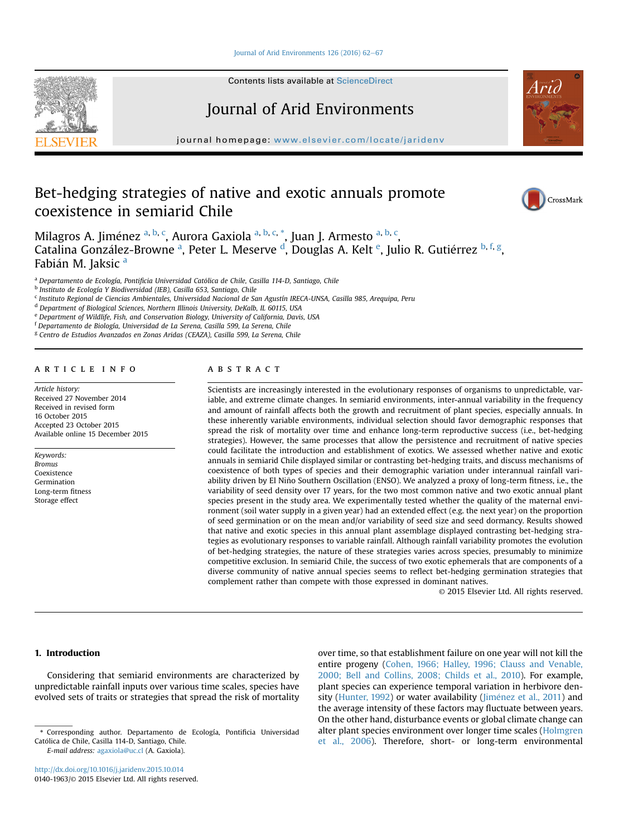#### [Journal of Arid Environments 126 \(2016\) 62](http://dx.doi.org/10.1016/j.jaridenv.2015.10.014)-[67](http://dx.doi.org/10.1016/j.jaridenv.2015.10.014)





# Journal of Arid Environments

journal homepage: [www.elsevier.com/locate/jaridenv](http://www.elsevier.com/locate/jaridenv)

# Bet-hedging strategies of native and exotic annuals promote coexistence in semiarid Chile



Milagros A. Jiménez <sup>a, b, c</sup>, Aurora Gaxiola <sup>a, b, c, \*</sup>, Juan J. Armesto <sup>a, b, c</sup>, Catalina González-Browne <sup>a</sup>, Peter L. Meserve <sup>d</sup>, Douglas A. Kelt <sup>e</sup>, Julio R. Gutiérrez <sup>b, f, g</sup>, Fabián M. Jaksic<sup>a</sup>

<sup>a</sup> Departamento de Ecología, Pontificia Universidad Catolica de Chile, Casilla 114-D, Santiago, Chile

<sup>b</sup> Instituto de Ecología Y Biodiversidad (IEB), Casilla 653, Santiago, Chile

<sup>c</sup> Instituto Regional de Ciencias Ambientales, Universidad Nacional de San Agustín IRECA-UNSA, Casilla 985, Arequipa, Peru

<sup>d</sup> Department of Biological Sciences, Northern Illinois University, DeKalb, IL 60115, USA

e Department of Wildlife, Fish, and Conservation Biology, University of California, Davis, USA

<sup>f</sup> Departamento de Biología, Universidad de La Serena, Casilla 599, La Serena, Chile

<sup>g</sup> Centro de Estudios Avanzados en Zonas Aridas (CEAZA), Casilla 599, La Serena, Chile

#### article info

Article history: Received 27 November 2014 Received in revised form 16 October 2015 Accepted 23 October 2015 Available online 15 December 2015

Keywords: Bromus Coexistence Germination Long-term fitness Storage effect

## **ABSTRACT**

Scientists are increasingly interested in the evolutionary responses of organisms to unpredictable, variable, and extreme climate changes. In semiarid environments, inter-annual variability in the frequency and amount of rainfall affects both the growth and recruitment of plant species, especially annuals. In these inherently variable environments, individual selection should favor demographic responses that spread the risk of mortality over time and enhance long-term reproductive success (i.e., bet-hedging strategies). However, the same processes that allow the persistence and recruitment of native species could facilitate the introduction and establishment of exotics. We assessed whether native and exotic annuals in semiarid Chile displayed similar or contrasting bet-hedging traits, and discuss mechanisms of coexistence of both types of species and their demographic variation under interannual rainfall variability driven by El Niño Southern Oscillation (ENSO). We analyzed a proxy of long-term fitness, i.e., the variability of seed density over 17 years, for the two most common native and two exotic annual plant species present in the study area. We experimentally tested whether the quality of the maternal environment (soil water supply in a given year) had an extended effect (e.g. the next year) on the proportion of seed germination or on the mean and/or variability of seed size and seed dormancy. Results showed that native and exotic species in this annual plant assemblage displayed contrasting bet-hedging strategies as evolutionary responses to variable rainfall. Although rainfall variability promotes the evolution of bet-hedging strategies, the nature of these strategies varies across species, presumably to minimize competitive exclusion. In semiarid Chile, the success of two exotic ephemerals that are components of a diverse community of native annual species seems to reflect bet-hedging germination strategies that complement rather than compete with those expressed in dominant natives.

© 2015 Elsevier Ltd. All rights reserved.

# 1. Introduction

Considering that semiarid environments are characterized by unpredictable rainfall inputs over various time scales, species have evolved sets of traits or strategies that spread the risk of mortality

E-mail address: [agaxiola@uc.cl](mailto:agaxiola@uc.cl) (A. Gaxiola).

over time, so that establishment failure on one year will not kill the entire progeny ([Cohen, 1966; Halley, 1996; Clauss and Venable,](#page-5-0) [2000; Bell and Collins, 2008; Childs et al., 2010\)](#page-5-0). For example, plant species can experience temporal variation in herbivore den-sity [\(Hunter, 1992](#page-5-0)) or water availability (Jiménez et al., 2011) and the average intensity of these factors may fluctuate between years. On the other hand, disturbance events or global climate change can alter plant species environment over longer time scales [\(Holmgren](#page-5-0) [et al., 2006](#page-5-0)). Therefore, short- or long-term environmental

<sup>\*</sup> Corresponding author. Departamento de Ecología, Pontificia Universidad Catolica de Chile, Casilla 114-D, Santiago, Chile.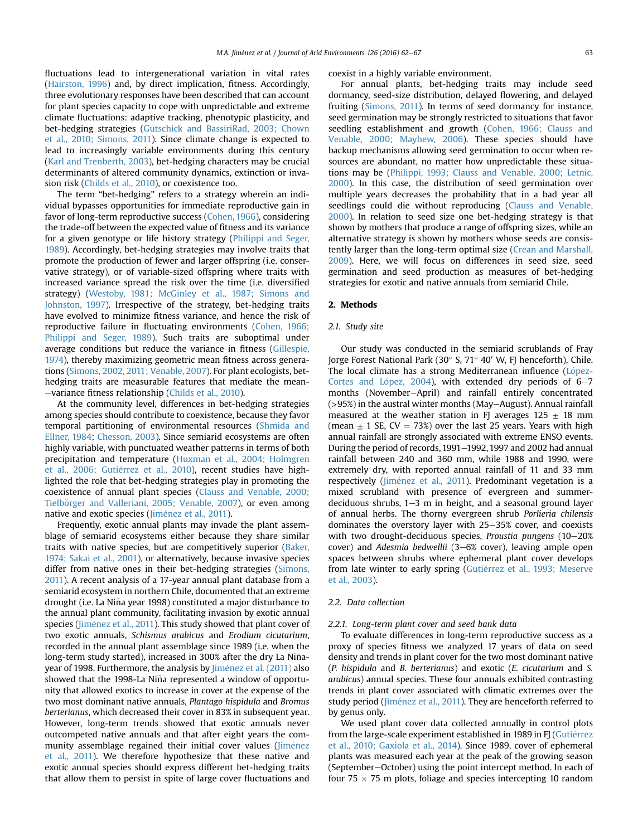fluctuations lead to intergenerational variation in vital rates ([Hairston, 1996\)](#page-5-0) and, by direct implication, fitness. Accordingly, three evolutionary responses have been described that can account for plant species capacity to cope with unpredictable and extreme climate fluctuations: adaptive tracking, phenotypic plasticity, and bet-hedging strategies [\(Gutschick and BassiriRad, 2003; Chown](#page-5-0) [et al., 2010; Simons, 2011\)](#page-5-0). Since climate change is expected to lead to increasingly variable environments during this century ([Karl and Trenberth, 2003\)](#page-5-0), bet-hedging characters may be crucial determinants of altered community dynamics, extinction or invasion risk [\(Childs et al., 2010\)](#page-5-0), or coexistence too.

The term "bet-hedging" refers to a strategy wherein an individual bypasses opportunities for immediate reproductive gain in favor of long-term reproductive success ([Cohen, 1966](#page-5-0)), considering the trade-off between the expected value of fitness and its variance for a given genotype or life history strategy [\(Philippi and Seger,](#page-5-0) [1989\)](#page-5-0). Accordingly, bet-hedging strategies may involve traits that promote the production of fewer and larger offspring (i.e. conservative strategy), or of variable-sized offspring where traits with increased variance spread the risk over the time (i.e. diversified strategy) [\(Westoby, 1981; McGinley et al., 1987; Simons and](#page-5-0) [Johnston, 1997](#page-5-0)). Irrespective of the strategy, bet-hedging traits have evolved to minimize fitness variance, and hence the risk of reproductive failure in fluctuating environments [\(Cohen, 1966;](#page-5-0) [Philippi and Seger, 1989](#page-5-0)). Such traits are suboptimal under average conditions but reduce the variance in fitness [\(Gillespie,](#page-5-0) [1974](#page-5-0)), thereby maximizing geometric mean fitness across generations [\(Simons, 2002, 2011; Venable, 2007\)](#page-5-0). For plant ecologists, bethedging traits are measurable features that mediate the mean--variance fitness relationship ([Childs et al., 2010\)](#page-5-0).

At the community level, differences in bet-hedging strategies among species should contribute to coexistence, because they favor temporal partitioning of environmental resources [\(Shmida and](#page-5-0) [Ellner, 1984;](#page-5-0) [Chesson, 2003\)](#page-5-0). Since semiarid ecosystems are often highly variable, with punctuated weather patterns in terms of both precipitation and temperature [\(Huxman et al., 2004; Holmgren](#page-5-0) [et al., 2006; Guti](#page-5-0)é[rrez et al., 2010](#page-5-0)), recent studies have highlighted the role that bet-hedging strategies play in promoting the coexistence of annual plant species [\(Clauss and Venable, 2000;](#page-5-0) Tielbörger and Valleriani, 2005; Venable, 2007), or even among native and exotic species (Jiménez et al., 2011).

Frequently, exotic annual plants may invade the plant assemblage of semiarid ecosystems either because they share similar traits with native species, but are competitively superior ([Baker,](#page-5-0) [1974; Sakai et al., 2001\)](#page-5-0), or alternatively, because invasive species differ from native ones in their bet-hedging strategies [\(Simons,](#page-5-0) [2011](#page-5-0)). A recent analysis of a 17-year annual plant database from a semiarid ecosystem in northern Chile, documented that an extreme drought (i.e. La Niña year 1998) constituted a major disturbance to the annual plant community, facilitating invasion by exotic annual species (Jiménez et al., 2011). This study showed that plant cover of two exotic annuals, Schismus arabicus and Erodium cicutarium, recorded in the annual plant assemblage since 1989 (i.e. when the long-term study started), increased in 300% after the dry La Niña-year of 1998. Furthermore, the analysis by [Jim](#page-5-0)é[nez et al. \(2011\)](#page-5-0) also showed that the 1998-La Niña represented a window of opportunity that allowed exotics to increase in cover at the expense of the two most dominant native annuals, Plantago hispidula and Bromus berterianus, which decreased their cover in 83% in subsequent year. However, long-term trends showed that exotic annuals never outcompeted native annuals and that after eight years the community assemblage regained their initial cover values (*Jiménez* [et al., 2011](#page-5-0)). We therefore hypothesize that these native and exotic annual species should express different bet-hedging traits that allow them to persist in spite of large cover fluctuations and

coexist in a highly variable environment.

For annual plants, bet-hedging traits may include seed dormancy, seed-size distribution, delayed flowering, and delayed fruiting [\(Simons, 2011](#page-5-0)). In terms of seed dormancy for instance, seed germination may be strongly restricted to situations that favor seedling establishment and growth [\(Cohen, 1966; Clauss and](#page-5-0) [Venable, 2000; Mayhew, 2006](#page-5-0)). These species should have backup mechanisms allowing seed germination to occur when resources are abundant, no matter how unpredictable these situations may be [\(Philippi, 1993; Clauss and Venable, 2000; Letnic,](#page-5-0) [2000\)](#page-5-0). In this case, the distribution of seed germination over multiple years decreases the probability that in a bad year all seedlings could die without reproducing ([Clauss and Venable,](#page-5-0) [2000\)](#page-5-0). In relation to seed size one bet-hedging strategy is that shown by mothers that produce a range of offspring sizes, while an alternative strategy is shown by mothers whose seeds are consistently larger than the long-term optimal size ([Crean and Marshall,](#page-5-0) [2009\)](#page-5-0). Here, we will focus on differences in seed size, seed germination and seed production as measures of bet-hedging strategies for exotic and native annuals from semiarid Chile.

#### 2. Methods

#### 2.1. Study site

Our study was conducted in the semiarid scrublands of Fray Jorge Forest National Park (30° S, 71° 40' W, FJ henceforth), Chile. The local climate has a strong Mediterranean influence [\(L](#page-5-0)ó[pez-](#page-5-0) [Cortes and L](#page-5-0)ó[pez, 2004](#page-5-0)), with extended dry periods of  $6-7$ months (November-April) and rainfall entirely concentrated  $($ >95%) in the austral winter months (May $-$ August). Annual rainfall measured at the weather station in FJ averages  $125 \pm 18$  mm (mean  $\pm$  1 SE, CV = 73%) over the last 25 years. Years with high annual rainfall are strongly associated with extreme ENSO events. During the period of records, 1991–1992, 1997 and 2002 had annual rainfall between 240 and 360 mm, while 1988 and 1990, were extremely dry, with reported annual rainfall of 11 and 33 mm respectively ([Jim](#page-5-0)é[nez et al., 2011](#page-5-0)). Predominant vegetation is a mixed scrubland with presence of evergreen and summerdeciduous shrubs,  $1-3$  m in height, and a seasonal ground layer of annual herbs. The thorny evergreen shrub Porlieria chilensis dominates the overstory layer with 25-35% cover, and coexists with two drought-deciduous species, Proustia pungens  $(10-20\%)$ cover) and Adesmia bedwellii (3-6% cover), leaving ample open spaces between shrubs where ephemeral plant cover develops from late winter to early spring (Gutiérrez et al., 1993; Meserve [et al., 2003](#page-5-0)).

#### 2.2. Data collection

#### 2.2.1. Long-term plant cover and seed bank data

To evaluate differences in long-term reproductive success as a proxy of species fitness we analyzed 17 years of data on seed density and trends in plant cover for the two most dominant native (P. hispidula and B. berterianus) and exotic (E. cicutarium and S. arabicus) annual species. These four annuals exhibited contrasting trends in plant cover associated with climatic extremes over the study period (Jiménez et al., 2011). They are henceforth referred to by genus only.

We used plant cover data collected annually in control plots from the large-scale experiment established in 1989 in FJ [\(Guti](#page-5-0)é[rrez](#page-5-0) [et al., 2010; Gaxiola et al., 2014](#page-5-0)). Since 1989, cover of ephemeral plants was measured each year at the peak of the growing season (September–October) using the point intercept method. In each of four  $75 \times 75$  m plots, foliage and species intercepting 10 random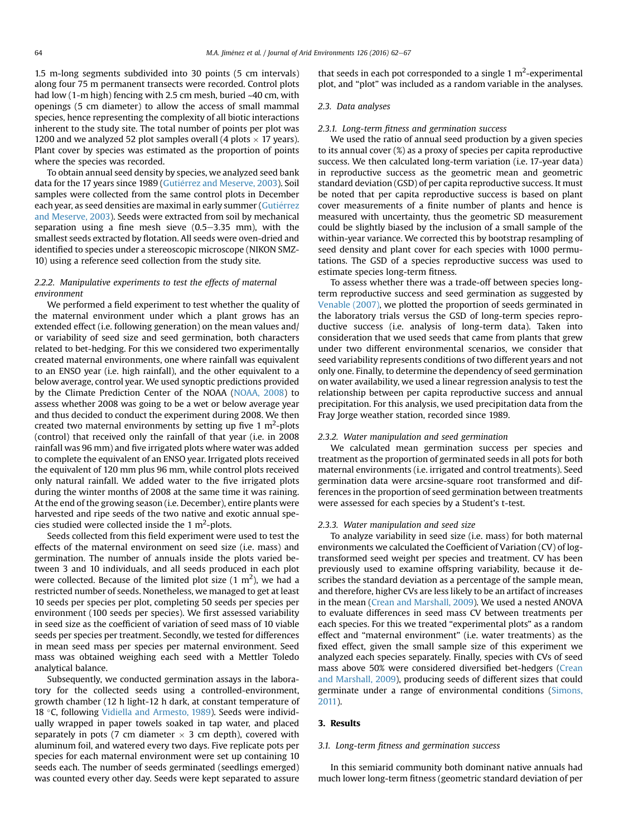1.5 m-long segments subdivided into 30 points (5 cm intervals) along four 75 m permanent transects were recorded. Control plots had low (1-m high) fencing with 2.5 cm mesh, buried ~40 cm, with openings (5 cm diameter) to allow the access of small mammal species, hence representing the complexity of all biotic interactions inherent to the study site. The total number of points per plot was 1200 and we analyzed 52 plot samples overall (4 plots  $\times$  17 years). Plant cover by species was estimated as the proportion of points where the species was recorded.

To obtain annual seed density by species, we analyzed seed bank data for the 17 years since 1989 (Gutiérrez and Meserve, 2003). Soil samples were collected from the same control plots in December each year, as seed densities are maximal in early summer (Gutiérrez [and Meserve, 2003](#page-5-0)). Seeds were extracted from soil by mechanical separation using a fine mesh sieve  $(0.5-3.35$  mm), with the smallest seeds extracted by flotation. All seeds were oven-dried and identified to species under a stereoscopic microscope (NIKON SMZ-10) using a reference seed collection from the study site.

# 2.2.2. Manipulative experiments to test the effects of maternal environment

We performed a field experiment to test whether the quality of the maternal environment under which a plant grows has an extended effect (i.e. following generation) on the mean values and/ or variability of seed size and seed germination, both characters related to bet-hedging. For this we considered two experimentally created maternal environments, one where rainfall was equivalent to an ENSO year (i.e. high rainfall), and the other equivalent to a below average, control year. We used synoptic predictions provided by the Climate Prediction Center of the NOAA ([NOAA, 2008](#page-5-0)) to assess whether 2008 was going to be a wet or below average year and thus decided to conduct the experiment during 2008. We then created two maternal environments by setting up five 1  $\mathrm{m}^2$ -plots (control) that received only the rainfall of that year (i.e. in 2008 rainfall was 96 mm) and five irrigated plots where water was added to complete the equivalent of an ENSO year. Irrigated plots received the equivalent of 120 mm plus 96 mm, while control plots received only natural rainfall. We added water to the five irrigated plots during the winter months of 2008 at the same time it was raining. At the end of the growing season (i.e. December), entire plants were harvested and ripe seeds of the two native and exotic annual species studied were collected inside the 1  $m^2$ -plots.

Seeds collected from this field experiment were used to test the effects of the maternal environment on seed size (i.e. mass) and germination. The number of annuals inside the plots varied between 3 and 10 individuals, and all seeds produced in each plot were collected. Because of the limited plot size  $(1 \text{ m}^2)$ , we had a restricted number of seeds. Nonetheless, we managed to get at least 10 seeds per species per plot, completing 50 seeds per species per environment (100 seeds per species). We first assessed variability in seed size as the coefficient of variation of seed mass of 10 viable seeds per species per treatment. Secondly, we tested for differences in mean seed mass per species per maternal environment. Seed mass was obtained weighing each seed with a Mettler Toledo analytical balance.

Subsequently, we conducted germination assays in the laboratory for the collected seeds using a controlled-environment, growth chamber (12 h light-12 h dark, at constant temperature of 18 °C, following [Vidiella and Armesto, 1989\)](#page-5-0). Seeds were individually wrapped in paper towels soaked in tap water, and placed separately in pots (7 cm diameter  $\times$  3 cm depth), covered with aluminum foil, and watered every two days. Five replicate pots per species for each maternal environment were set up containing 10 seeds each. The number of seeds germinated (seedlings emerged) was counted every other day. Seeds were kept separated to assure that seeds in each pot corresponded to a single 1  $m^2$ -experimental plot, and "plot" was included as a random variable in the analyses.

### 2.3. Data analyses

# 2.3.1. Long-term fitness and germination success

We used the ratio of annual seed production by a given species to its annual cover (%) as a proxy of species per capita reproductive success. We then calculated long-term variation (i.e. 17-year data) in reproductive success as the geometric mean and geometric standard deviation (GSD) of per capita reproductive success. It must be noted that per capita reproductive success is based on plant cover measurements of a finite number of plants and hence is measured with uncertainty, thus the geometric SD measurement could be slightly biased by the inclusion of a small sample of the within-year variance. We corrected this by bootstrap resampling of seed density and plant cover for each species with 1000 permutations. The GSD of a species reproductive success was used to estimate species long-term fitness.

To assess whether there was a trade-off between species longterm reproductive success and seed germination as suggested by [Venable \(2007\),](#page-5-0) we plotted the proportion of seeds germinated in the laboratory trials versus the GSD of long-term species reproductive success (i.e. analysis of long-term data). Taken into consideration that we used seeds that came from plants that grew under two different environmental scenarios, we consider that seed variability represents conditions of two different years and not only one. Finally, to determine the dependency of seed germination on water availability, we used a linear regression analysis to test the relationship between per capita reproductive success and annual precipitation. For this analysis, we used precipitation data from the Fray Jorge weather station, recorded since 1989.

#### 2.3.2. Water manipulation and seed germination

We calculated mean germination success per species and treatment as the proportion of germinated seeds in all pots for both maternal environments (i.e. irrigated and control treatments). Seed germination data were arcsine-square root transformed and differences in the proportion of seed germination between treatments were assessed for each species by a Student's t-test.

#### 2.3.3. Water manipulation and seed size

To analyze variability in seed size (i.e. mass) for both maternal environments we calculated the Coefficient of Variation (CV) of logtransformed seed weight per species and treatment. CV has been previously used to examine offspring variability, because it describes the standard deviation as a percentage of the sample mean, and therefore, higher CVs are less likely to be an artifact of increases in the mean [\(Crean and Marshall, 2009](#page-5-0)). We used a nested ANOVA to evaluate differences in seed mass CV between treatments per each species. For this we treated "experimental plots" as a random effect and "maternal environment" (i.e. water treatments) as the fixed effect, given the small sample size of this experiment we analyzed each species separately. Finally, species with CVs of seed mass above 50% were considered diversified bet-hedgers [\(Crean](#page-5-0) [and Marshall, 2009](#page-5-0)), producing seeds of different sizes that could germinate under a range of environmental conditions [\(Simons,](#page-5-0) [2011\)](#page-5-0).

## 3. Results

#### 3.1. Long-term fitness and germination success

In this semiarid community both dominant native annuals had much lower long-term fitness (geometric standard deviation of per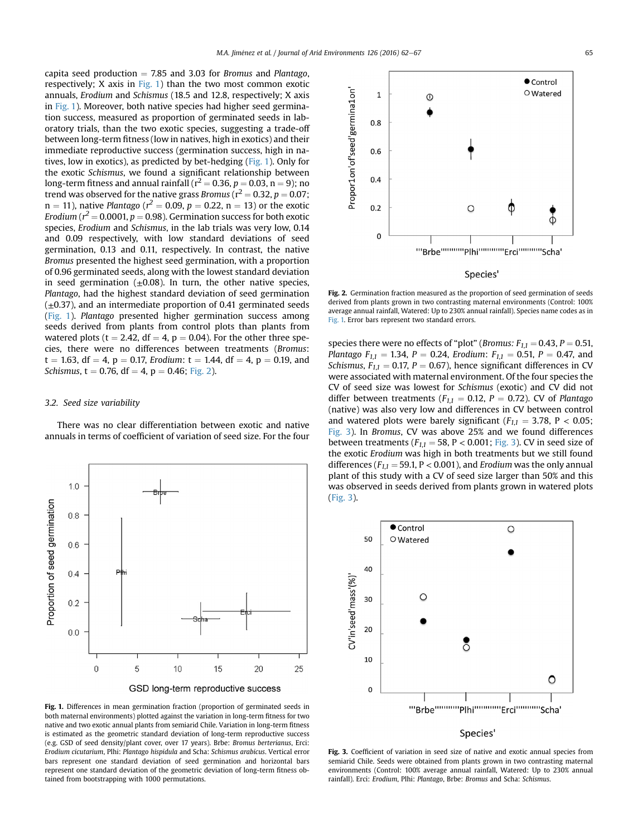<span id="page-3-0"></span>capita seed production  $= 7.85$  and 3.03 for Bromus and Plantago, respectively; X axis in Fig. 1) than the two most common exotic annuals, Erodium and Schismus (18.5 and 12.8, respectively; X axis in Fig. 1). Moreover, both native species had higher seed germination success, measured as proportion of germinated seeds in laboratory trials, than the two exotic species, suggesting a trade-off between long-term fitness (low in natives, high in exotics) and their immediate reproductive success (germination success, high in natives, low in exotics), as predicted by bet-hedging (Fig. 1). Only for the exotic Schismus, we found a significant relationship between long-term fitness and annual rainfall ( $r^2 = 0.36$ ,  $p = 0.03$ , n = 9); no trend was observed for the native grass Bromus  $(r^2 = 0.32, p = 0.07;$  $n = 11$ ), native Plantago ( $r^2 = 0.09$ ,  $p = 0.22$ ,  $n = 13$ ) or the exotic Erodium ( $r^2$  = 0.0001, p = 0.98). Germination success for both exotic species, Erodium and Schismus, in the lab trials was very low, 0.14 and 0.09 respectively, with low standard deviations of seed germination, 0.13 and 0.11, respectively. In contrast, the native Bromus presented the highest seed germination, with a proportion of 0.96 germinated seeds, along with the lowest standard deviation in seed germination  $(\pm 0.08)$ . In turn, the other native species, Plantago, had the highest standard deviation of seed germination  $(\pm 0.37)$ , and an intermediate proportion of 0.41 germinated seeds (Fig. 1). Plantago presented higher germination success among seeds derived from plants from control plots than plants from watered plots (t = 2.42, df = 4,  $p = 0.04$ ). For the other three species, there were no differences between treatments (Bromus:  $t = 1.63$ , df = 4, p = 0.17, Erodium:  $t = 1.44$ , df = 4, p = 0.19, and Schismus, t = 0.76, df = 4, p = 0.46; Fig. 2).

#### 3.2. Seed size variability

There was no clear differentiation between exotic and native annuals in terms of coefficient of variation of seed size. For the four



GSD long-term reproductive success

Fig. 1. Differences in mean germination fraction (proportion of germinated seeds in both maternal environments) plotted against the variation in long-term fitness for two native and two exotic annual plants from semiarid Chile. Variation in long-term fitness is estimated as the geometric standard deviation of long-term reproductive success (e.g. GSD of seed density/plant cover, over 17 years). Brbe: Bromus berterianus, Erci: Erodium cicutarium, Plhi: Plantago hispidula and Scha: Schismus arabicus. Vertical error bars represent one standard deviation of seed germination and horizontal bars represent one standard deviation of the geometric deviation of long-term fitness obtained from bootstrapping with 1000 permutations.



Fig. 2. Germination fraction measured as the proportion of seed germination of seeds derived from plants grown in two contrasting maternal environments (Control: 100% average annual rainfall, Watered: Up to 230% annual rainfall). Species name codes as in Fig. 1. Error bars represent two standard errors.

species there were no effects of "plot" (Bromus:  $F_{1,1} = 0.43$ ,  $P = 0.51$ , Plantago  $F_{1,1} = 1.34$ ,  $P = 0.24$ , Erodium:  $F_{1,1} = 0.51$ ,  $P = 0.47$ , and Schismus,  $F_{1,1} = 0.17$ ,  $P = 0.67$ ), hence significant differences in CV were associated with maternal environment. Of the four species the CV of seed size was lowest for Schismus (exotic) and CV did not differ between treatments ( $F_{1,1} = 0.12$ ,  $P = 0.72$ ). CV of Plantago (native) was also very low and differences in CV between control and watered plots were barely significant ( $F_{1,1} = 3.78$ , P < 0.05; Fig. 3). In Bromus, CV was above 25% and we found differences between treatments ( $F_{1,1}$  = 58, P < 0.001; Fig. 3). CV in seed size of the exotic Erodium was high in both treatments but we still found differences ( $F_{1,1}$  = 59.1, P < 0.001), and *Erodium* was the only annual plant of this study with a CV of seed size larger than 50% and this was observed in seeds derived from plants grown in watered plots (Fig. 3).



Species'

Fig. 3. Coefficient of variation in seed size of native and exotic annual species from semiarid Chile. Seeds were obtained from plants grown in two contrasting maternal environments (Control: 100% average annual rainfall, Watered: Up to 230% annual rainfall). Erci: Erodium, Plhi: Plantago, Brbe: Bromus and Scha: Schismus.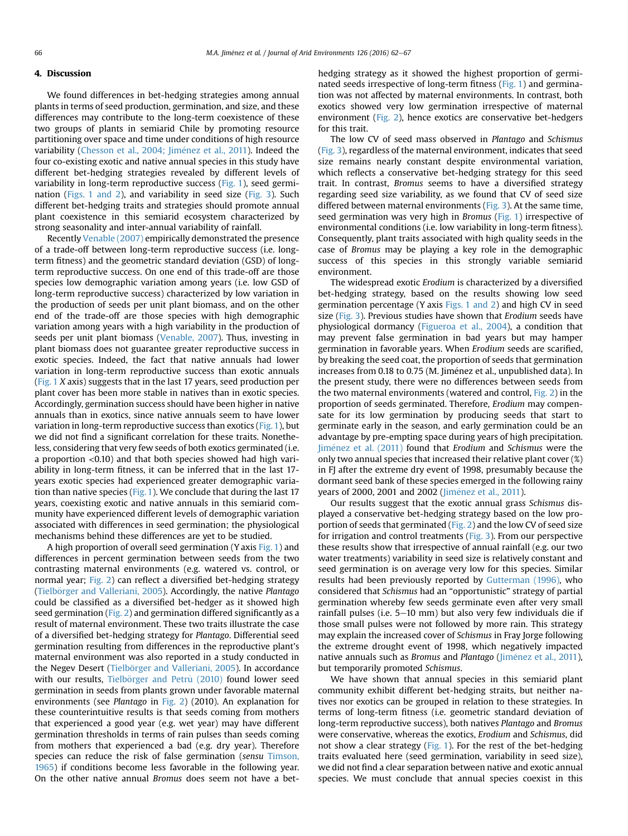# 4. Discussion

We found differences in bet-hedging strategies among annual plants in terms of seed production, germination, and size, and these differences may contribute to the long-term coexistence of these two groups of plants in semiarid Chile by promoting resource partitioning over space and time under conditions of high resource variability ([Chesson et al., 2004; Jim](#page-5-0)é[nez et al., 2011](#page-5-0)). Indeed the four co-existing exotic and native annual species in this study have different bet-hedging strategies revealed by different levels of variability in long-term reproductive success [\(Fig. 1](#page-3-0)), seed germination ([Figs. 1 and 2\)](#page-3-0), and variability in seed size ([Fig. 3](#page-3-0)). Such different bet-hedging traits and strategies should promote annual plant coexistence in this semiarid ecosystem characterized by strong seasonality and inter-annual variability of rainfall.

Recently [Venable \(2007\)](#page-5-0) empirically demonstrated the presence of a trade-off between long-term reproductive success (i.e. longterm fitness) and the geometric standard deviation (GSD) of longterm reproductive success. On one end of this trade-off are those species low demographic variation among years (i.e. low GSD of long-term reproductive success) characterized by low variation in the production of seeds per unit plant biomass, and on the other end of the trade-off are those species with high demographic variation among years with a high variability in the production of seeds per unit plant biomass ([Venable, 2007\)](#page-5-0). Thus, investing in plant biomass does not guarantee greater reproductive success in exotic species. Indeed, the fact that native annuals had lower variation in long-term reproductive success than exotic annuals ([Fig. 1](#page-3-0) X axis) suggests that in the last 17 years, seed production per plant cover has been more stable in natives than in exotic species. Accordingly, germination success should have been higher in native annuals than in exotics, since native annuals seem to have lower variation in long-term reproductive success than exotics ([Fig. 1\)](#page-3-0), but we did not find a significant correlation for these traits. Nonetheless, considering that very few seeds of both exotics germinated (i.e. a proportion  $<$ 0.10) and that both species showed had high variability in long-term fitness, it can be inferred that in the last 17 years exotic species had experienced greater demographic variation than native species ([Fig. 1\)](#page-3-0). We conclude that during the last 17 years, coexisting exotic and native annuals in this semiarid community have experienced different levels of demographic variation associated with differences in seed germination; the physiological mechanisms behind these differences are yet to be studied.

A high proportion of overall seed germination (Y axis [Fig. 1\)](#page-3-0) and differences in percent germination between seeds from the two contrasting maternal environments (e.g. watered vs. control, or normal year; [Fig. 2\)](#page-3-0) can reflect a diversified bet-hedging strategy ([Tielb](#page-5-0)ö[rger and Valleriani, 2005](#page-5-0)). Accordingly, the native Plantago could be classified as a diversified bet-hedger as it showed high seed germination ([Fig. 2](#page-3-0)) and germination differed significantly as a result of maternal environment. These two traits illustrate the case of a diversified bet-hedging strategy for Plantago. Differential seed germination resulting from differences in the reproductive plant's maternal environment was also reported in a study conducted in the Negev Desert ([Tielb](#page-5-0)ö[rger and Valleriani, 2005](#page-5-0)). In accordance with our results, Tielbörger and Petrů [\(2010\)](#page-5-0) found lower seed germination in seeds from plants grown under favorable maternal environments (see Plantago in [Fig. 2\)](#page-3-0) (2010). An explanation for these counterintuitive results is that seeds coming from mothers that experienced a good year (e.g. wet year) may have different germination thresholds in terms of rain pulses than seeds coming from mothers that experienced a bad (e.g. dry year). Therefore species can reduce the risk of false germination (sensu [Timson,](#page-5-0) [1965](#page-5-0)) if conditions become less favorable in the following year. On the other native annual Bromus does seem not have a bethedging strategy as it showed the highest proportion of germinated seeds irrespective of long-term fitness [\(Fig. 1](#page-3-0)) and germination was not affected by maternal environments. In contrast, both exotics showed very low germination irrespective of maternal environment [\(Fig. 2](#page-3-0)), hence exotics are conservative bet-hedgers for this trait.

The low CV of seed mass observed in Plantago and Schismus ([Fig. 3](#page-3-0)), regardless of the maternal environment, indicates that seed size remains nearly constant despite environmental variation, which reflects a conservative bet-hedging strategy for this seed trait. In contrast, Bromus seems to have a diversified strategy regarding seed size variability, as we found that CV of seed size differed between maternal environments [\(Fig. 3\)](#page-3-0). At the same time, seed germination was very high in Bromus [\(Fig. 1](#page-3-0)) irrespective of environmental conditions (i.e. low variability in long-term fitness). Consequently, plant traits associated with high quality seeds in the case of Bromus may be playing a key role in the demographic success of this species in this strongly variable semiarid environment.

The widespread exotic Erodium is characterized by a diversified bet-hedging strategy, based on the results showing low seed germination percentage (Y axis [Figs. 1 and 2](#page-3-0)) and high CV in seed size ([Fig. 3\)](#page-3-0). Previous studies have shown that Erodium seeds have physiological dormancy ([Figueroa et al., 2004\)](#page-5-0), a condition that may prevent false germination in bad years but may hamper germination in favorable years. When Erodium seeds are scarified, by breaking the seed coat, the proportion of seeds that germination increases from 0.18 to 0.75 (M. Jiménez et al., unpublished data). In the present study, there were no differences between seeds from the two maternal environments (watered and control, [Fig. 2](#page-3-0)) in the proportion of seeds germinated. Therefore, Erodium may compensate for its low germination by producing seeds that start to germinate early in the season, and early germination could be an advantage by pre-empting space during years of high precipitation. [Jim](#page-5-0)e[nez et al. \(2011\)](#page-5-0) found that Erodium and Schismus were the only two annual species that increased their relative plant cover (%) in FJ after the extreme dry event of 1998, presumably because the dormant seed bank of these species emerged in the following rainy years of 2000, 2001 and 2002 (Jiménez et al., 2011).

Our results suggest that the exotic annual grass Schismus displayed a conservative bet-hedging strategy based on the low proportion of seeds that germinated [\(Fig. 2\)](#page-3-0) and the low CV of seed size for irrigation and control treatments [\(Fig. 3](#page-3-0)). From our perspective these results show that irrespective of annual rainfall (e.g. our two water treatments) variability in seed size is relatively constant and seed germination is on average very low for this species. Similar results had been previously reported by [Gutterman \(1996\),](#page-5-0) who considered that Schismus had an "opportunistic" strategy of partial germination whereby few seeds germinate even after very small rainfall pulses (i.e.  $5-10$  mm) but also very few individuals die if those small pulses were not followed by more rain. This strategy may explain the increased cover of Schismus in Fray Jorge following the extreme drought event of 1998, which negatively impacted native annuals such as Bromus and Plantago (Jiménez et al., 2011), but temporarily promoted Schismus.

We have shown that annual species in this semiarid plant community exhibit different bet-hedging straits, but neither natives nor exotics can be grouped in relation to these strategies. In terms of long-term fitness (i.e. geometric standard deviation of long-term reproductive success), both natives Plantago and Bromus were conservative, whereas the exotics, Erodium and Schismus, did not show a clear strategy [\(Fig. 1](#page-3-0)). For the rest of the bet-hedging traits evaluated here (seed germination, variability in seed size), we did not find a clear separation between native and exotic annual species. We must conclude that annual species coexist in this